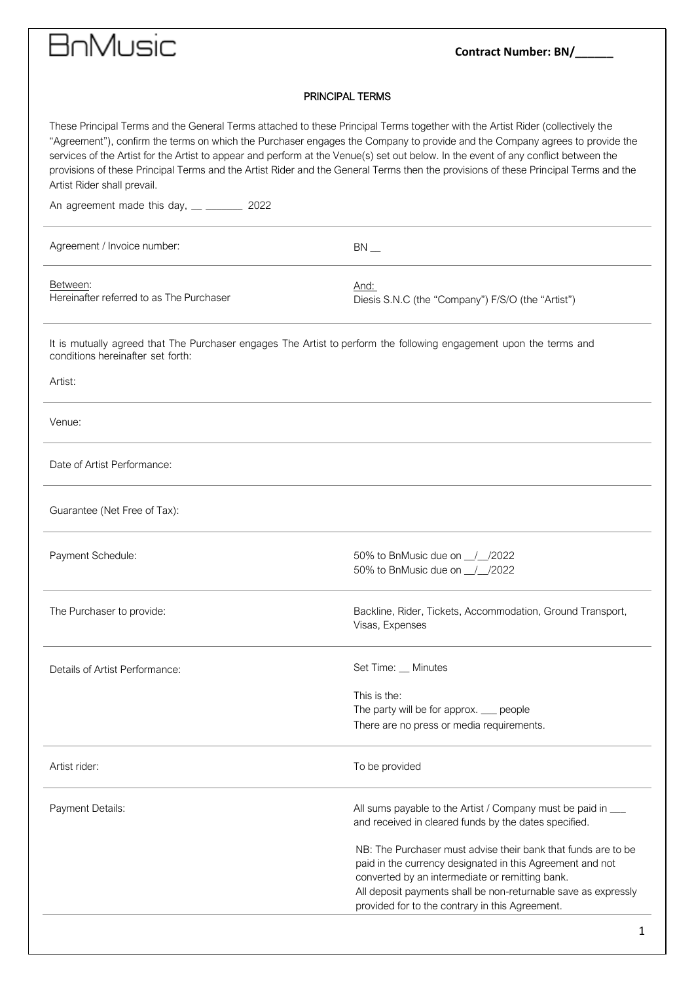# **Contract Number: BN/\_\_\_\_\_**

### PRINCIPAL TERMS

| These Principal Terms and the General Terms attached to these Principal Terms together with the Artist Rider (collectively the<br>"Agreement"), confirm the terms on which the Purchaser engages the Company to provide and the Company agrees to provide the<br>services of the Artist for the Artist to appear and perform at the Venue(s) set out below. In the event of any conflict between the<br>provisions of these Principal Terms and the Artist Rider and the General Terms then the provisions of these Principal Terms and the<br>Artist Rider shall prevail. |                                                                                                                                                                                                                                                                                                    |
|----------------------------------------------------------------------------------------------------------------------------------------------------------------------------------------------------------------------------------------------------------------------------------------------------------------------------------------------------------------------------------------------------------------------------------------------------------------------------------------------------------------------------------------------------------------------------|----------------------------------------------------------------------------------------------------------------------------------------------------------------------------------------------------------------------------------------------------------------------------------------------------|
| An agreement made this day, __ ________ 2022                                                                                                                                                                                                                                                                                                                                                                                                                                                                                                                               |                                                                                                                                                                                                                                                                                                    |
| Agreement / Invoice number:                                                                                                                                                                                                                                                                                                                                                                                                                                                                                                                                                | $BN$ __                                                                                                                                                                                                                                                                                            |
| Between:<br>Hereinafter referred to as The Purchaser                                                                                                                                                                                                                                                                                                                                                                                                                                                                                                                       | And:<br>Diesis S.N.C (the "Company") F/S/O (the "Artist")                                                                                                                                                                                                                                          |
| It is mutually agreed that The Purchaser engages The Artist to perform the following engagement upon the terms and<br>conditions hereinafter set forth:                                                                                                                                                                                                                                                                                                                                                                                                                    |                                                                                                                                                                                                                                                                                                    |
| Artist:                                                                                                                                                                                                                                                                                                                                                                                                                                                                                                                                                                    |                                                                                                                                                                                                                                                                                                    |
| Venue:                                                                                                                                                                                                                                                                                                                                                                                                                                                                                                                                                                     |                                                                                                                                                                                                                                                                                                    |
| Date of Artist Performance:                                                                                                                                                                                                                                                                                                                                                                                                                                                                                                                                                |                                                                                                                                                                                                                                                                                                    |
| Guarantee (Net Free of Tax):                                                                                                                                                                                                                                                                                                                                                                                                                                                                                                                                               |                                                                                                                                                                                                                                                                                                    |
| Payment Schedule:                                                                                                                                                                                                                                                                                                                                                                                                                                                                                                                                                          | 50% to BnMusic due on 1/2022<br>50% to BnMusic due on 1/2022                                                                                                                                                                                                                                       |
| The Purchaser to provide:                                                                                                                                                                                                                                                                                                                                                                                                                                                                                                                                                  | Backline, Rider, Tickets, Accommodation, Ground Transport,<br>Visas, Expenses                                                                                                                                                                                                                      |
| Details of Artist Performance:                                                                                                                                                                                                                                                                                                                                                                                                                                                                                                                                             | Set Time: _ Minutes                                                                                                                                                                                                                                                                                |
|                                                                                                                                                                                                                                                                                                                                                                                                                                                                                                                                                                            | This is the:<br>The party will be for approx. __ people<br>There are no press or media requirements.                                                                                                                                                                                               |
| Artist rider:                                                                                                                                                                                                                                                                                                                                                                                                                                                                                                                                                              | To be provided                                                                                                                                                                                                                                                                                     |
| Payment Details:                                                                                                                                                                                                                                                                                                                                                                                                                                                                                                                                                           | All sums payable to the Artist / Company must be paid in ____<br>and received in cleared funds by the dates specified.                                                                                                                                                                             |
|                                                                                                                                                                                                                                                                                                                                                                                                                                                                                                                                                                            | NB: The Purchaser must advise their bank that funds are to be<br>paid in the currency designated in this Agreement and not<br>converted by an intermediate or remitting bank.<br>All deposit payments shall be non-returnable save as expressly<br>provided for to the contrary in this Agreement. |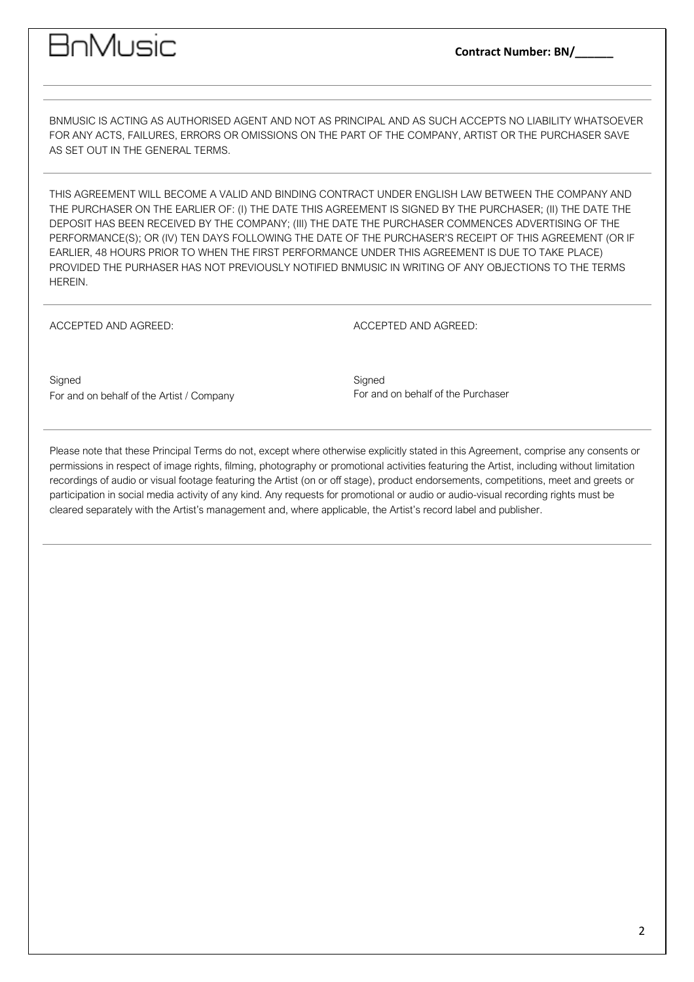### 3nMusic

BNMUSIC IS ACTING AS AUTHORISED AGENT AND NOT AS PRINCIPAL AND AS SUCH ACCEPTS NO LIABILITY WHATSOEVER FOR ANY ACTS, FAILURES, ERRORS OR OMISSIONS ON THE PART OF THE COMPANY, ARTIST OR THE PURCHASER SAVE AS SET OUT IN THE GENERAL TERMS.

THIS AGREEMENT WILL BECOME A VALID AND BINDING CONTRACT UNDER ENGLISH LAW BETWEEN THE COMPANY AND THE PURCHASER ON THE EARLIER OF: (I) THE DATE THIS AGREEMENT IS SIGNED BY THE PURCHASER; (II) THE DATE THE DEPOSIT HAS BEEN RECEIVED BY THE COMPANY; (III) THE DATE THE PURCHASER COMMENCES ADVERTISING OF THE PERFORMANCE(S); OR (IV) TEN DAYS FOLLOWING THE DATE OF THE PURCHASER'S RECEIPT OF THIS AGREEMENT (OR IF EARLIER, 48 HOURS PRIOR TO WHEN THE FIRST PERFORMANCE UNDER THIS AGREEMENT IS DUE TO TAKE PLACE) PROVIDED THE PURHASER HAS NOT PREVIOUSLY NOTIFIED BNMUSIC IN WRITING OF ANY OBJECTIONS TO THE TERMS HEREIN.

ACCEPTED AND AGREED:

ACCEPTED AND AGREED:

**Signed** For and on behalf of the Artist / Company **Signed** For and on behalf of the Purchaser

Please note that these Principal Terms do not, except where otherwise explicitly stated in this Agreement, comprise any consents or permissions in respect of image rights, filming, photography or promotional activities featuring the Artist, including without limitation recordings of audio or visual footage featuring the Artist (on or off stage), product endorsements, competitions, meet and greets or participation in social media activity of any kind. Any requests for promotional or audio or audio-visual recording rights must be cleared separately with the Artist's management and, where applicable, the Artist's record label and publisher.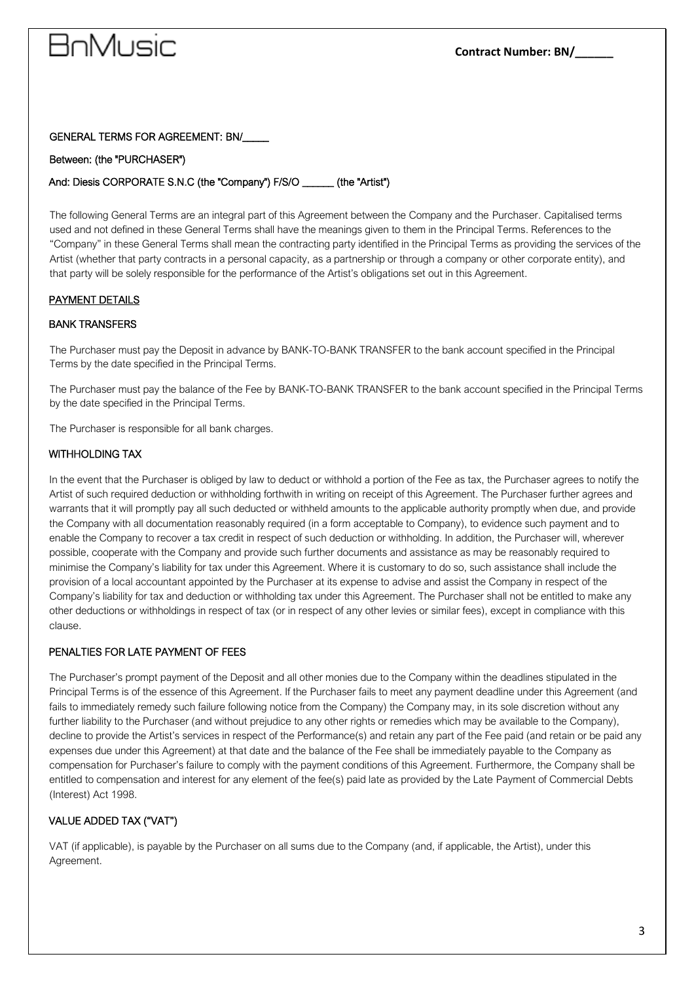# an MoF

#### GENERAL TERMS FOR AGREEMENT: BN/\_\_\_\_\_

#### Between: (the "PURCHASER")

#### And: Diesis CORPORATE S.N.C (the "Company") F/S/O \_\_\_\_\_\_ (the "Artist")

The following General Terms are an integral part of this Agreement between the Company and the Purchaser. Capitalised terms used and not defined in these General Terms shall have the meanings given to them in the Principal Terms. References to the "Company" in these General Terms shall mean the contracting party identified in the Principal Terms as providing the services of the Artist (whether that party contracts in a personal capacity, as a partnership or through a company or other corporate entity), and that party will be solely responsible for the performance of the Artist's obligations set out in this Agreement.

#### PAYMENT DETAILS

#### BANK TRANSFERS

The Purchaser must pay the Deposit in advance by BANK-TO-BANK TRANSFER to the bank account specified in the Principal Terms by the date specified in the Principal Terms.

The Purchaser must pay the balance of the Fee by BANK-TO-BANK TRANSFER to the bank account specified in the Principal Terms by the date specified in the Principal Terms.

The Purchaser is responsible for all bank charges.

### WITHHOLDING TAX

In the event that the Purchaser is obliged by law to deduct or withhold a portion of the Fee as tax, the Purchaser agrees to notify the Artist of such required deduction or withholding forthwith in writing on receipt of this Agreement. The Purchaser further agrees and warrants that it will promptly pay all such deducted or withheld amounts to the applicable authority promptly when due, and provide the Company with all documentation reasonably required (in a form acceptable to Company), to evidence such payment and to enable the Company to recover a tax credit in respect of such deduction or withholding. In addition, the Purchaser will, wherever possible, cooperate with the Company and provide such further documents and assistance as may be reasonably required to minimise the Company's liability for tax under this Agreement. Where it is customary to do so, such assistance shall include the provision of a local accountant appointed by the Purchaser at its expense to advise and assist the Company in respect of the Company's liability for tax and deduction or withholding tax under this Agreement. The Purchaser shall not be entitled to make any other deductions or withholdings in respect of tax (or in respect of any other levies or similar fees), except in compliance with this clause.

#### PENALTIES FOR LATE PAYMENT OF FEES

The Purchaser's prompt payment of the Deposit and all other monies due to the Company within the deadlines stipulated in the Principal Terms is of the essence of this Agreement. If the Purchaser fails to meet any payment deadline under this Agreement (and fails to immediately remedy such failure following notice from the Company) the Company may, in its sole discretion without any further liability to the Purchaser (and without prejudice to any other rights or remedies which may be available to the Company), decline to provide the Artist's services in respect of the Performance(s) and retain any part of the Fee paid (and retain or be paid any expenses due under this Agreement) at that date and the balance of the Fee shall be immediately payable to the Company as compensation for Purchaser's failure to comply with the payment conditions of this Agreement. Furthermore, the Company shall be entitled to compensation and interest for any element of the fee(s) paid late as provided by the Late Payment of Commercial Debts (Interest) Act 1998.

### VALUE ADDED TAX ("VAT")

VAT (if applicable), is payable by the Purchaser on all sums due to the Company (and, if applicable, the Artist), under this Agreement.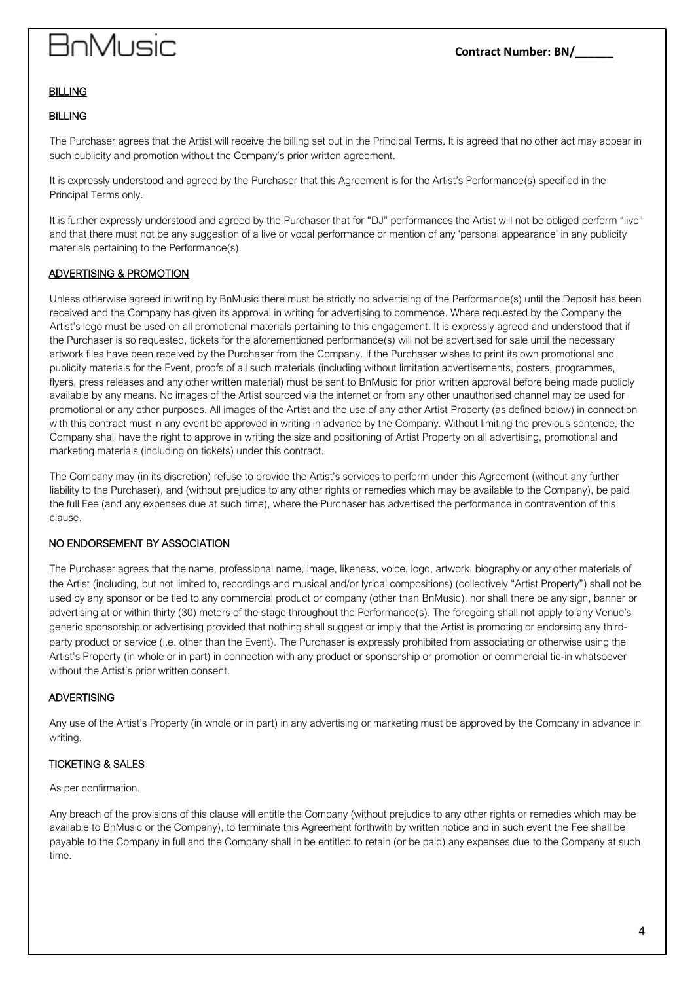# 3nMusic

#### BILLING

#### BILLING

The Purchaser agrees that the Artist will receive the billing set out in the Principal Terms. It is agreed that no other act may appear in such publicity and promotion without the Company's prior written agreement.

It is expressly understood and agreed by the Purchaser that this Agreement is for the Artist's Performance(s) specified in the Principal Terms only.

It is further expressly understood and agreed by the Purchaser that for "DJ" performances the Artist will not be obliged perform "live" and that there must not be any suggestion of a live or vocal performance or mention of any 'personal appearance' in any publicity materials pertaining to the Performance(s).

#### ADVERTISING & PROMOTION

Unless otherwise agreed in writing by BnMusic there must be strictly no advertising of the Performance(s) until the Deposit has been received and the Company has given its approval in writing for advertising to commence. Where requested by the Company the Artist's logo must be used on all promotional materials pertaining to this engagement. It is expressly agreed and understood that if the Purchaser is so requested, tickets for the aforementioned performance(s) will not be advertised for sale until the necessary artwork files have been received by the Purchaser from the Company. If the Purchaser wishes to print its own promotional and publicity materials for the Event, proofs of all such materials (including without limitation advertisements, posters, programmes, flyers, press releases and any other written material) must be sent to BnMusic for prior written approval before being made publicly available by any means. No images of the Artist sourced via the internet or from any other unauthorised channel may be used for promotional or any other purposes. All images of the Artist and the use of any other Artist Property (as defined below) in connection with this contract must in any event be approved in writing in advance by the Company. Without limiting the previous sentence, the Company shall have the right to approve in writing the size and positioning of Artist Property on all advertising, promotional and marketing materials (including on tickets) under this contract.

The Company may (in its discretion) refuse to provide the Artist's services to perform under this Agreement (without any further liability to the Purchaser), and (without prejudice to any other rights or remedies which may be available to the Company), be paid the full Fee (and any expenses due at such time), where the Purchaser has advertised the performance in contravention of this clause.

#### NO ENDORSEMENT BY ASSOCIATION

The Purchaser agrees that the name, professional name, image, likeness, voice, logo, artwork, biography or any other materials of the Artist (including, but not limited to, recordings and musical and/or lyrical compositions) (collectively "Artist Property") shall not be used by any sponsor or be tied to any commercial product or company (other than BnMusic), nor shall there be any sign, banner or advertising at or within thirty (30) meters of the stage throughout the Performance(s). The foregoing shall not apply to any Venue's generic sponsorship or advertising provided that nothing shall suggest or imply that the Artist is promoting or endorsing any thirdparty product or service (i.e. other than the Event). The Purchaser is expressly prohibited from associating or otherwise using the Artist's Property (in whole or in part) in connection with any product or sponsorship or promotion or commercial tie-in whatsoever without the Artist's prior written consent.

#### ADVERTISING

Any use of the Artist's Property (in whole or in part) in any advertising or marketing must be approved by the Company in advance in writing.

#### TICKETING & SALES

As per confirmation.

Any breach of the provisions of this clause will entitle the Company (without prejudice to any other rights or remedies which may be available to BnMusic or the Company), to terminate this Agreement forthwith by written notice and in such event the Fee shall be payable to the Company in full and the Company shall in be entitled to retain (or be paid) any expenses due to the Company at such time.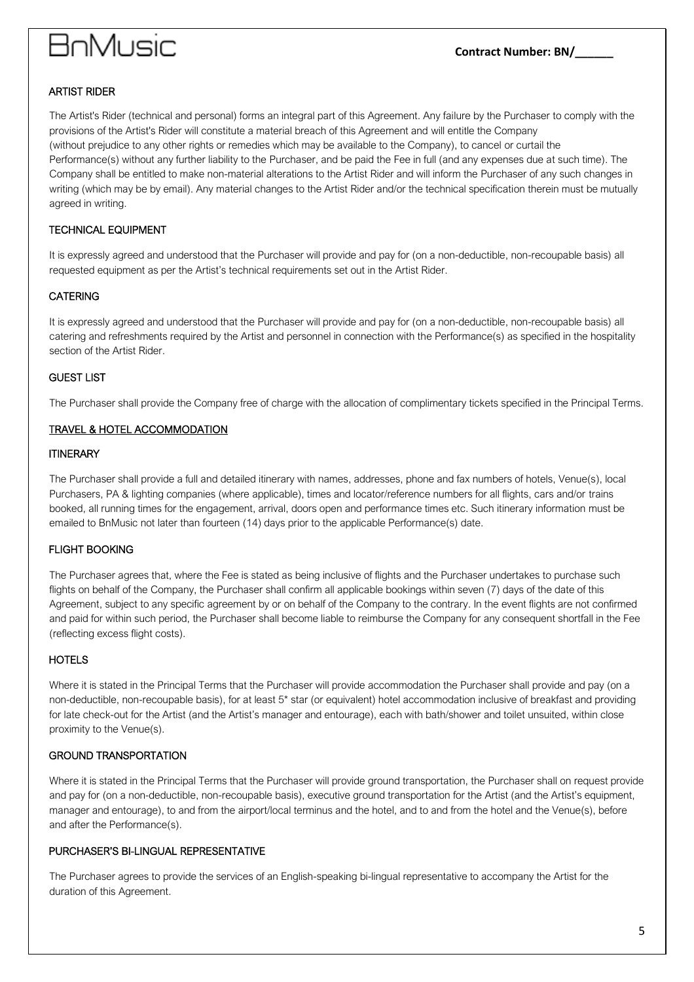#### ARTIST RIDER

The Artist's Rider (technical and personal) forms an integral part of this Agreement. Any failure by the Purchaser to comply with the provisions of the Artist's Rider will constitute a material breach of this Agreement and will entitle the Company (without prejudice to any other rights or remedies which may be available to the Company), to cancel or curtail the Performance(s) without any further liability to the Purchaser, and be paid the Fee in full (and any expenses due at such time). The Company shall be entitled to make non-material alterations to the Artist Rider and will inform the Purchaser of any such changes in writing (which may be by email). Any material changes to the Artist Rider and/or the technical specification therein must be mutually agreed in writing.

#### TECHNICAL EQUIPMENT

It is expressly agreed and understood that the Purchaser will provide and pay for (on a non-deductible, non-recoupable basis) all requested equipment as per the Artist's technical requirements set out in the Artist Rider.

#### CATERING

It is expressly agreed and understood that the Purchaser will provide and pay for (on a non-deductible, non-recoupable basis) all catering and refreshments required by the Artist and personnel in connection with the Performance(s) as specified in the hospitality section of the Artist Rider.

#### GUEST LIST

The Purchaser shall provide the Company free of charge with the allocation of complimentary tickets specified in the Principal Terms.

### TRAVEL & HOTEL ACCOMMODATION

#### **ITINERARY**

The Purchaser shall provide a full and detailed itinerary with names, addresses, phone and fax numbers of hotels, Venue(s), local Purchasers, PA & lighting companies (where applicable), times and locator/reference numbers for all flights, cars and/or trains booked, all running times for the engagement, arrival, doors open and performance times etc. Such itinerary information must be emailed to BnMusic not later than fourteen (14) days prior to the applicable Performance(s) date.

#### FLIGHT BOOKING

The Purchaser agrees that, where the Fee is stated as being inclusive of flights and the Purchaser undertakes to purchase such flights on behalf of the Company, the Purchaser shall confirm all applicable bookings within seven (7) days of the date of this Agreement, subject to any specific agreement by or on behalf of the Company to the contrary. In the event flights are not confirmed and paid for within such period, the Purchaser shall become liable to reimburse the Company for any consequent shortfall in the Fee (reflecting excess flight costs).

#### **HOTELS**

Where it is stated in the Principal Terms that the Purchaser will provide accommodation the Purchaser shall provide and pay (on a non-deductible, non-recoupable basis), for at least 5\* star (or equivalent) hotel accommodation inclusive of breakfast and providing for late check-out for the Artist (and the Artist's manager and entourage), each with bath/shower and toilet unsuited, within close proximity to the Venue(s).

#### GROUND TRANSPORTATION

Where it is stated in the Principal Terms that the Purchaser will provide ground transportation, the Purchaser shall on request provide and pay for (on a non-deductible, non-recoupable basis), executive ground transportation for the Artist (and the Artist's equipment, manager and entourage), to and from the airport/local terminus and the hotel, and to and from the hotel and the Venue(s), before and after the Performance(s).

#### PURCHASER'S BI-LINGUAL REPRESENTATIVE

The Purchaser agrees to provide the services of an English-speaking bi-lingual representative to accompany the Artist for the duration of this Agreement.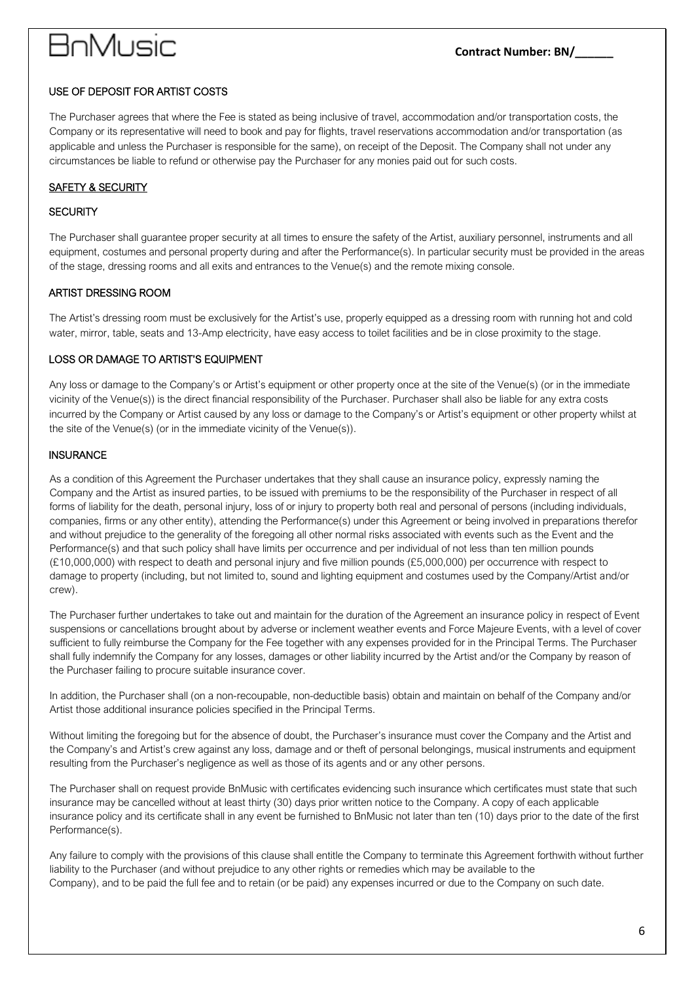#### USE OF DEPOSIT FOR ARTIST COSTS

The Purchaser agrees that where the Fee is stated as being inclusive of travel, accommodation and/or transportation costs, the Company or its representative will need to book and pay for flights, travel reservations accommodation and/or transportation (as applicable and unless the Purchaser is responsible for the same), on receipt of the Deposit. The Company shall not under any circumstances be liable to refund or otherwise pay the Purchaser for any monies paid out for such costs.

### **SAFETY & SECURITY**

#### **SECURITY**

The Purchaser shall guarantee proper security at all times to ensure the safety of the Artist, auxiliary personnel, instruments and all equipment, costumes and personal property during and after the Performance(s). In particular security must be provided in the areas of the stage, dressing rooms and all exits and entrances to the Venue(s) and the remote mixing console.

#### ARTIST DRESSING ROOM

The Artist's dressing room must be exclusively for the Artist's use, properly equipped as a dressing room with running hot and cold water, mirror, table, seats and 13-Amp electricity, have easy access to toilet facilities and be in close proximity to the stage.

#### LOSS OR DAMAGE TO ARTIST'S EQUIPMENT

Any loss or damage to the Company's or Artist's equipment or other property once at the site of the Venue(s) (or in the immediate vicinity of the Venue(s)) is the direct financial responsibility of the Purchaser. Purchaser shall also be liable for any extra costs incurred by the Company or Artist caused by any loss or damage to the Company's or Artist's equipment or other property whilst at the site of the Venue(s) (or in the immediate vicinity of the Venue(s)).

#### **INSURANCE**

As a condition of this Agreement the Purchaser undertakes that they shall cause an insurance policy, expressly naming the Company and the Artist as insured parties, to be issued with premiums to be the responsibility of the Purchaser in respect of all forms of liability for the death, personal injury, loss of or injury to property both real and personal of persons (including individuals, companies, firms or any other entity), attending the Performance(s) under this Agreement or being involved in preparations therefor and without prejudice to the generality of the foregoing all other normal risks associated with events such as the Event and the Performance(s) and that such policy shall have limits per occurrence and per individual of not less than ten million pounds (£10,000,000) with respect to death and personal injury and five million pounds (£5,000,000) per occurrence with respect to damage to property (including, but not limited to, sound and lighting equipment and costumes used by the Company/Artist and/or crew).

The Purchaser further undertakes to take out and maintain for the duration of the Agreement an insurance policy in respect of Event suspensions or cancellations brought about by adverse or inclement weather events and Force Majeure Events, with a level of cover sufficient to fully reimburse the Company for the Fee together with any expenses provided for in the Principal Terms. The Purchaser shall fully indemnify the Company for any losses, damages or other liability incurred by the Artist and/or the Company by reason of the Purchaser failing to procure suitable insurance cover.

In addition, the Purchaser shall (on a non-recoupable, non-deductible basis) obtain and maintain on behalf of the Company and/or Artist those additional insurance policies specified in the Principal Terms.

Without limiting the foregoing but for the absence of doubt, the Purchaser's insurance must cover the Company and the Artist and the Company's and Artist's crew against any loss, damage and or theft of personal belongings, musical instruments and equipment resulting from the Purchaser's negligence as well as those of its agents and or any other persons.

The Purchaser shall on request provide BnMusic with certificates evidencing such insurance which certificates must state that such insurance may be cancelled without at least thirty (30) days prior written notice to the Company. A copy of each applicable insurance policy and its certificate shall in any event be furnished to BnMusic not later than ten (10) days prior to the date of the first Performance(s).

Any failure to comply with the provisions of this clause shall entitle the Company to terminate this Agreement forthwith without further liability to the Purchaser (and without prejudice to any other rights or remedies which may be available to the Company), and to be paid the full fee and to retain (or be paid) any expenses incurred or due to the Company on such date.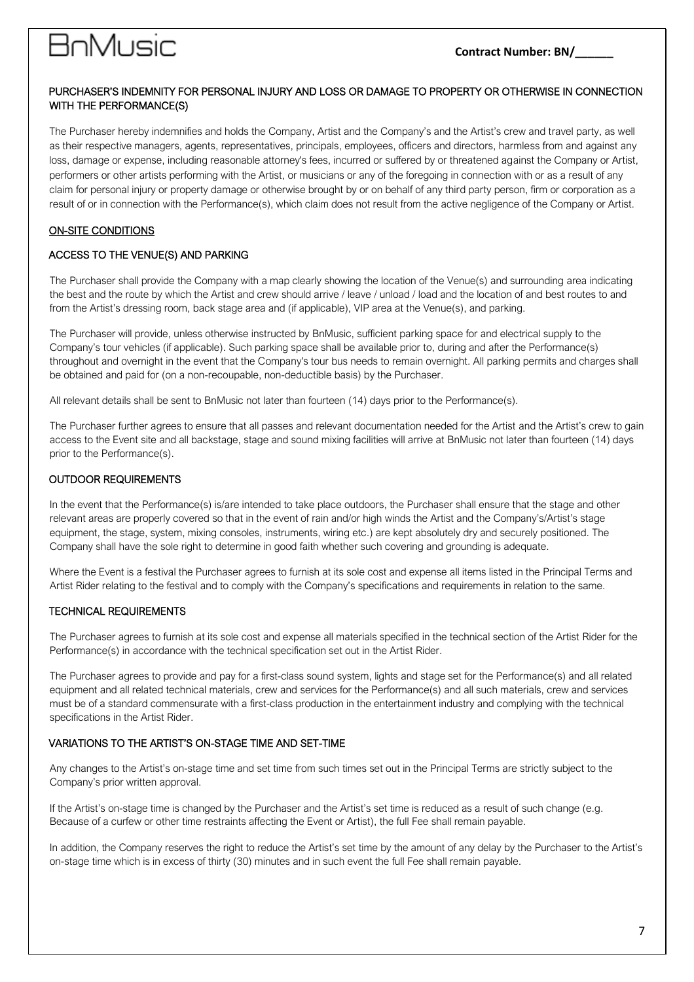# anMusic

#### **Contract Number: BN/\_\_\_\_\_\_**

#### PURCHASER'S INDEMNITY FOR PERSONAL INJURY AND LOSS OR DAMAGE TO PROPERTY OR OTHERWISE IN CONNECTION WITH THE PERFORMANCE(S)

The Purchaser hereby indemnifies and holds the Company, Artist and the Company's and the Artist's crew and travel party, as well as their respective managers, agents, representatives, principals, employees, officers and directors, harmless from and against any loss, damage or expense, including reasonable attorney's fees, incurred or suffered by or threatened against the Company or Artist, performers or other artists performing with the Artist, or musicians or any of the foregoing in connection with or as a result of any claim for personal injury or property damage or otherwise brought by or on behalf of any third party person, firm or corporation as a result of or in connection with the Performance(s), which claim does not result from the active negligence of the Company or Artist.

### ON-SITE CONDITIONS

#### ACCESS TO THE VENUE(S) AND PARKING

The Purchaser shall provide the Company with a map clearly showing the location of the Venue(s) and surrounding area indicating the best and the route by which the Artist and crew should arrive / leave / unload / load and the location of and best routes to and from the Artist's dressing room, back stage area and (if applicable), VIP area at the Venue(s), and parking.

The Purchaser will provide, unless otherwise instructed by BnMusic, sufficient parking space for and electrical supply to the Company's tour vehicles (if applicable). Such parking space shall be available prior to, during and after the Performance(s) throughout and overnight in the event that the Company's tour bus needs to remain overnight. All parking permits and charges shall be obtained and paid for (on a non-recoupable, non-deductible basis) by the Purchaser.

All relevant details shall be sent to BnMusic not later than fourteen (14) days prior to the Performance(s).

The Purchaser further agrees to ensure that all passes and relevant documentation needed for the Artist and the Artist's crew to gain access to the Event site and all backstage, stage and sound mixing facilities will arrive at BnMusic not later than fourteen (14) days prior to the Performance(s).

#### OUTDOOR REQUIREMENTS

In the event that the Performance(s) is/are intended to take place outdoors, the Purchaser shall ensure that the stage and other relevant areas are properly covered so that in the event of rain and/or high winds the Artist and the Company's/Artist's stage equipment, the stage, system, mixing consoles, instruments, wiring etc.) are kept absolutely dry and securely positioned. The Company shall have the sole right to determine in good faith whether such covering and grounding is adequate.

Where the Event is a festival the Purchaser agrees to furnish at its sole cost and expense all items listed in the Principal Terms and Artist Rider relating to the festival and to comply with the Company's specifications and requirements in relation to the same.

#### TECHNICAL REQUIREMENTS

The Purchaser agrees to furnish at its sole cost and expense all materials specified in the technical section of the Artist Rider for the Performance(s) in accordance with the technical specification set out in the Artist Rider.

The Purchaser agrees to provide and pay for a first-class sound system, lights and stage set for the Performance(s) and all related equipment and all related technical materials, crew and services for the Performance(s) and all such materials, crew and services must be of a standard commensurate with a first-class production in the entertainment industry and complying with the technical specifications in the Artist Rider.

#### VARIATIONS TO THE ARTIST'S ON-STAGE TIME AND SET-TIME

Any changes to the Artist's on-stage time and set time from such times set out in the Principal Terms are strictly subject to the Company's prior written approval.

If the Artist's on-stage time is changed by the Purchaser and the Artist's set time is reduced as a result of such change (e.g. Because of a curfew or other time restraints affecting the Event or Artist), the full Fee shall remain payable.

In addition, the Company reserves the right to reduce the Artist's set time by the amount of any delay by the Purchaser to the Artist's on-stage time which is in excess of thirty (30) minutes and in such event the full Fee shall remain payable.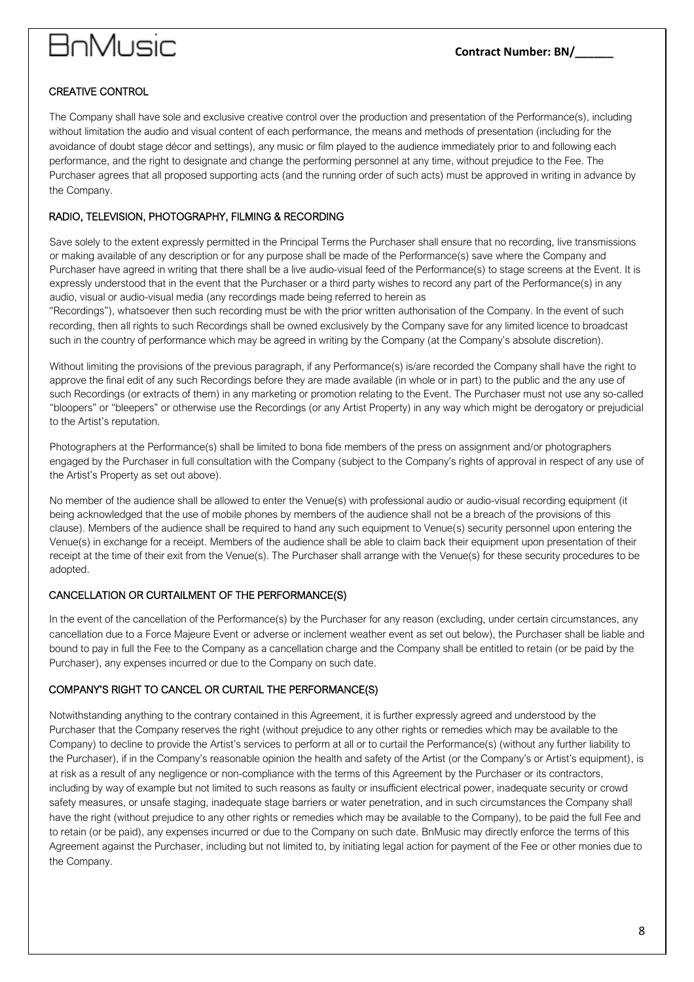### CREATIVE CONTROL

The Company shall have sole and exclusive creative control over the production and presentation of the Performance(s), including without limitation the audio and visual content of each performance, the means and methods of presentation (including for the avoidance of doubt stage décor and settings), any music or film played to the audience immediately prior to and following each performance, and the right to designate and change the performing personnel at any time, without prejudice to the Fee. The Purchaser agrees that all proposed supporting acts (and the running order of such acts) must be approved in writing in advance by the Company.

#### RADIO, TELEVISION, PHOTOGRAPHY, FILMING & RECORDING

Save solely to the extent expressly permitted in the Principal Terms the Purchaser shall ensure that no recording, live transmissions or making available of any description or for any purpose shall be made of the Performance(s) save where the Company and Purchaser have agreed in writing that there shall be a live audio-visual feed of the Performance(s) to stage screens at the Event. It is expressly understood that in the event that the Purchaser or a third party wishes to record any part of the Performance(s) in any audio, visual or audio-visual media (any recordings made being referred to herein as

"Recordings"), whatsoever then such recording must be with the prior written authorisation of the Company. In the event of such recording, then all rights to such Recordings shall be owned exclusively by the Company save for any limited licence to broadcast such in the country of performance which may be agreed in writing by the Company (at the Company's absolute discretion).

Without limiting the provisions of the previous paragraph, if any Performance(s) is/are recorded the Company shall have the right to approve the final edit of any such Recordings before they are made available (in whole or in part) to the public and the any use of such Recordings (or extracts of them) in any marketing or promotion relating to the Event. The Purchaser must not use any so-called "bloopers" or "bleepers" or otherwise use the Recordings (or any Artist Property) in any way which might be derogatory or prejudicial to the Artist's reputation.

Photographers at the Performance(s) shall be limited to bona fide members of the press on assignment and/or photographers engaged by the Purchaser in full consultation with the Company (subject to the Company's rights of approval in respect of any use of the Artist's Property as set out above).

No member of the audience shall be allowed to enter the Venue(s) with professional audio or audio-visual recording equipment (it being acknowledged that the use of mobile phones by members of the audience shall not be a breach of the provisions of this clause). Members of the audience shall be required to hand any such equipment to Venue(s) security personnel upon entering the Venue(s) in exchange for a receipt. Members of the audience shall be able to claim back their equipment upon presentation of their receipt at the time of their exit from the Venue(s). The Purchaser shall arrange with the Venue(s) for these security procedures to be adopted.

#### CANCELLATION OR CURTAILMENT OF THE PERFORMANCE(S)

In the event of the cancellation of the Performance(s) by the Purchaser for any reason (excluding, under certain circumstances, any cancellation due to a Force Majeure Event or adverse or inclement weather event as set out below), the Purchaser shall be liable and bound to pay in full the Fee to the Company as a cancellation charge and the Company shall be entitled to retain (or be paid by the Purchaser), any expenses incurred or due to the Company on such date.

#### COMPANY'S RIGHT TO CANCEL OR CURTAIL THE PERFORMANCE(S)

Notwithstanding anything to the contrary contained in this Agreement, it is further expressly agreed and understood by the Purchaser that the Company reserves the right (without prejudice to any other rights or remedies which may be available to the Company) to decline to provide the Artist's services to perform at all or to curtail the Performance(s) (without any further liability to the Purchaser), if in the Company's reasonable opinion the health and safety of the Artist (or the Company's or Artist's equipment), is at risk as a result of any negligence or non-compliance with the terms of this Agreement by the Purchaser or its contractors, including by way of example but not limited to such reasons as faulty or insufficient electrical power, inadequate security or crowd safety measures, or unsafe staging, inadequate stage barriers or water penetration, and in such circumstances the Company shall have the right (without prejudice to any other rights or remedies which may be available to the Company), to be paid the full Fee and to retain (or be paid), any expenses incurred or due to the Company on such date. BnMusic may directly enforce the terms of this Agreement against the Purchaser, including but not limited to, by initiating legal action for payment of the Fee or other monies due to the Company.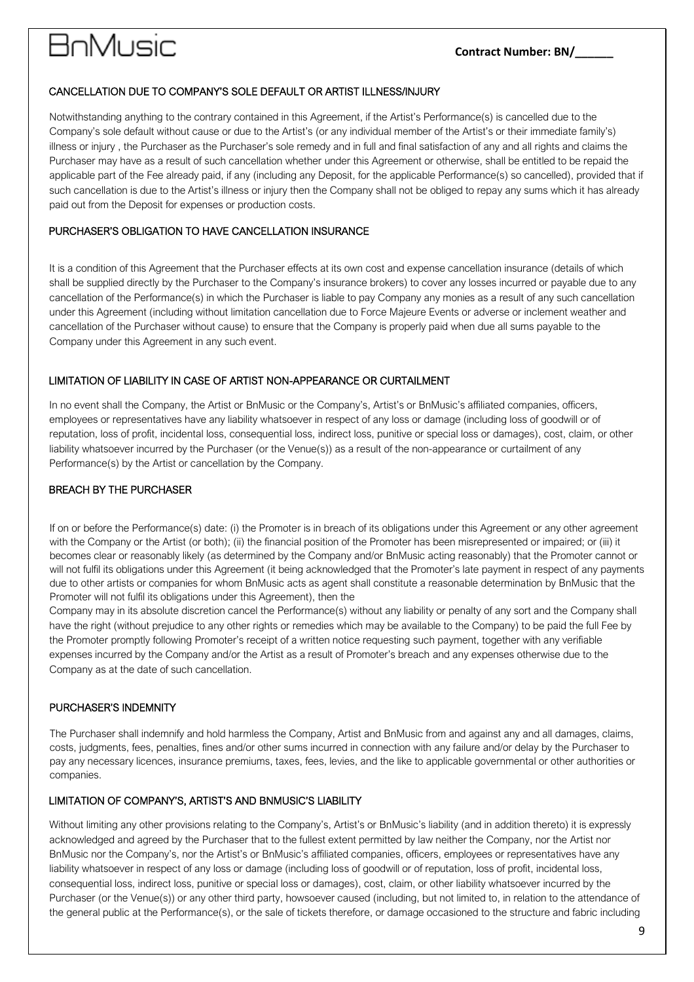# **BnMusic**

### CANCELLATION DUE TO COMPANY'S SOLE DEFAULT OR ARTIST ILLNESS/INJURY

Notwithstanding anything to the contrary contained in this Agreement, if the Artist's Performance(s) is cancelled due to the Company's sole default without cause or due to the Artist's (or any individual member of the Artist's or their immediate family's) illness or injury , the Purchaser as the Purchaser's sole remedy and in full and final satisfaction of any and all rights and claims the Purchaser may have as a result of such cancellation whether under this Agreement or otherwise, shall be entitled to be repaid the applicable part of the Fee already paid, if any (including any Deposit, for the applicable Performance(s) so cancelled), provided that if such cancellation is due to the Artist's illness or injury then the Company shall not be obliged to repay any sums which it has already paid out from the Deposit for expenses or production costs.

#### PURCHASER'S OBLIGATION TO HAVE CANCELLATION INSURANCE

It is a condition of this Agreement that the Purchaser effects at its own cost and expense cancellation insurance (details of which shall be supplied directly by the Purchaser to the Company's insurance brokers) to cover any losses incurred or payable due to any cancellation of the Performance(s) in which the Purchaser is liable to pay Company any monies as a result of any such cancellation under this Agreement (including without limitation cancellation due to Force Majeure Events or adverse or inclement weather and cancellation of the Purchaser without cause) to ensure that the Company is properly paid when due all sums payable to the Company under this Agreement in any such event.

### LIMITATION OF LIABILITY IN CASE OF ARTIST NON-APPEARANCE OR CURTAILMENT

In no event shall the Company, the Artist or BnMusic or the Company's, Artist's or BnMusic's affiliated companies, officers, employees or representatives have any liability whatsoever in respect of any loss or damage (including loss of goodwill or of reputation, loss of profit, incidental loss, consequential loss, indirect loss, punitive or special loss or damages), cost, claim, or other liability whatsoever incurred by the Purchaser (or the Venue(s)) as a result of the non-appearance or curtailment of any Performance(s) by the Artist or cancellation by the Company.

### BREACH BY THE PURCHASER

If on or before the Performance(s) date: (i) the Promoter is in breach of its obligations under this Agreement or any other agreement with the Company or the Artist (or both); (ii) the financial position of the Promoter has been misrepresented or impaired; or (iii) it becomes clear or reasonably likely (as determined by the Company and/or BnMusic acting reasonably) that the Promoter cannot or will not fulfil its obligations under this Agreement (it being acknowledged that the Promoter's late payment in respect of any payments due to other artists or companies for whom BnMusic acts as agent shall constitute a reasonable determination by BnMusic that the Promoter will not fulfil its obligations under this Agreement), then the

Company may in its absolute discretion cancel the Performance(s) without any liability or penalty of any sort and the Company shall have the right (without prejudice to any other rights or remedies which may be available to the Company) to be paid the full Fee by the Promoter promptly following Promoter's receipt of a written notice requesting such payment, together with any verifiable expenses incurred by the Company and/or the Artist as a result of Promoter's breach and any expenses otherwise due to the Company as at the date of such cancellation.

#### PURCHASER'S INDEMNITY

The Purchaser shall indemnify and hold harmless the Company, Artist and BnMusic from and against any and all damages, claims, costs, judgments, fees, penalties, fines and/or other sums incurred in connection with any failure and/or delay by the Purchaser to pay any necessary licences, insurance premiums, taxes, fees, levies, and the like to applicable governmental or other authorities or companies.

#### LIMITATION OF COMPANY'S, ARTIST'S AND BNMUSIC'S LIABILITY

Without limiting any other provisions relating to the Company's, Artist's or BnMusic's liability (and in addition thereto) it is expressly acknowledged and agreed by the Purchaser that to the fullest extent permitted by law neither the Company, nor the Artist nor BnMusic nor the Company's, nor the Artist's or BnMusic's affiliated companies, officers, employees or representatives have any liability whatsoever in respect of any loss or damage (including loss of goodwill or of reputation, loss of profit, incidental loss, consequential loss, indirect loss, punitive or special loss or damages), cost, claim, or other liability whatsoever incurred by the Purchaser (or the Venue(s)) or any other third party, howsoever caused (including, but not limited to, in relation to the attendance of the general public at the Performance(s), or the sale of tickets therefore, or damage occasioned to the structure and fabric including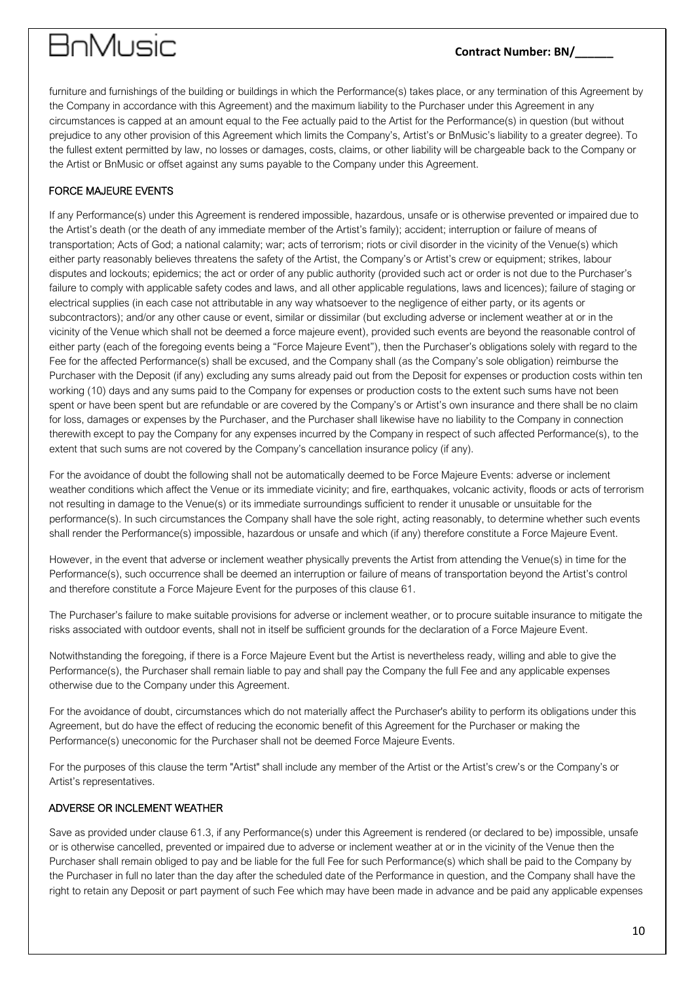# **BnMusic**

### **Contract Number: BN/\_\_\_\_\_\_**

furniture and furnishings of the building or buildings in which the Performance(s) takes place, or any termination of this Agreement by the Company in accordance with this Agreement) and the maximum liability to the Purchaser under this Agreement in any circumstances is capped at an amount equal to the Fee actually paid to the Artist for the Performance(s) in question (but without prejudice to any other provision of this Agreement which limits the Company's, Artist's or BnMusic's liability to a greater degree). To the fullest extent permitted by law, no losses or damages, costs, claims, or other liability will be chargeable back to the Company or the Artist or BnMusic or offset against any sums payable to the Company under this Agreement.

### FORCE MAJEURE EVENTS

If any Performance(s) under this Agreement is rendered impossible, hazardous, unsafe or is otherwise prevented or impaired due to the Artist's death (or the death of any immediate member of the Artist's family); accident; interruption or failure of means of transportation; Acts of God; a national calamity; war; acts of terrorism; riots or civil disorder in the vicinity of the Venue(s) which either party reasonably believes threatens the safety of the Artist, the Company's or Artist's crew or equipment; strikes, labour disputes and lockouts; epidemics; the act or order of any public authority (provided such act or order is not due to the Purchaser's failure to comply with applicable safety codes and laws, and all other applicable regulations, laws and licences); failure of staging or electrical supplies (in each case not attributable in any way whatsoever to the negligence of either party, or its agents or subcontractors); and/or any other cause or event, similar or dissimilar (but excluding adverse or inclement weather at or in the vicinity of the Venue which shall not be deemed a force majeure event), provided such events are beyond the reasonable control of either party (each of the foregoing events being a "Force Majeure Event"), then the Purchaser's obligations solely with regard to the Fee for the affected Performance(s) shall be excused, and the Company shall (as the Company's sole obligation) reimburse the Purchaser with the Deposit (if any) excluding any sums already paid out from the Deposit for expenses or production costs within ten working (10) days and any sums paid to the Company for expenses or production costs to the extent such sums have not been spent or have been spent but are refundable or are covered by the Company's or Artist's own insurance and there shall be no claim for loss, damages or expenses by the Purchaser, and the Purchaser shall likewise have no liability to the Company in connection therewith except to pay the Company for any expenses incurred by the Company in respect of such affected Performance(s), to the extent that such sums are not covered by the Company's cancellation insurance policy (if any).

For the avoidance of doubt the following shall not be automatically deemed to be Force Majeure Events: adverse or inclement weather conditions which affect the Venue or its immediate vicinity; and fire, earthquakes, volcanic activity, floods or acts of terrorism not resulting in damage to the Venue(s) or its immediate surroundings sufficient to render it unusable or unsuitable for the performance(s). In such circumstances the Company shall have the sole right, acting reasonably, to determine whether such events shall render the Performance(s) impossible, hazardous or unsafe and which (if any) therefore constitute a Force Majeure Event.

However, in the event that adverse or inclement weather physically prevents the Artist from attending the Venue(s) in time for the Performance(s), such occurrence shall be deemed an interruption or failure of means of transportation beyond the Artist's control and therefore constitute a Force Majeure Event for the purposes of this clause 61.

The Purchaser's failure to make suitable provisions for adverse or inclement weather, or to procure suitable insurance to mitigate the risks associated with outdoor events, shall not in itself be sufficient grounds for the declaration of a Force Majeure Event.

Notwithstanding the foregoing, if there is a Force Majeure Event but the Artist is nevertheless ready, willing and able to give the Performance(s), the Purchaser shall remain liable to pay and shall pay the Company the full Fee and any applicable expenses otherwise due to the Company under this Agreement.

For the avoidance of doubt, circumstances which do not materially affect the Purchaser's ability to perform its obligations under this Agreement, but do have the effect of reducing the economic benefit of this Agreement for the Purchaser or making the Performance(s) uneconomic for the Purchaser shall not be deemed Force Majeure Events.

For the purposes of this clause the term "Artist" shall include any member of the Artist or the Artist's crew's or the Company's or Artist's representatives.

#### ADVERSE OR INCLEMENT WEATHER

Save as provided under clause 61.3, if any Performance(s) under this Agreement is rendered (or declared to be) impossible, unsafe or is otherwise cancelled, prevented or impaired due to adverse or inclement weather at or in the vicinity of the Venue then the Purchaser shall remain obliged to pay and be liable for the full Fee for such Performance(s) which shall be paid to the Company by the Purchaser in full no later than the day after the scheduled date of the Performance in question, and the Company shall have the right to retain any Deposit or part payment of such Fee which may have been made in advance and be paid any applicable expenses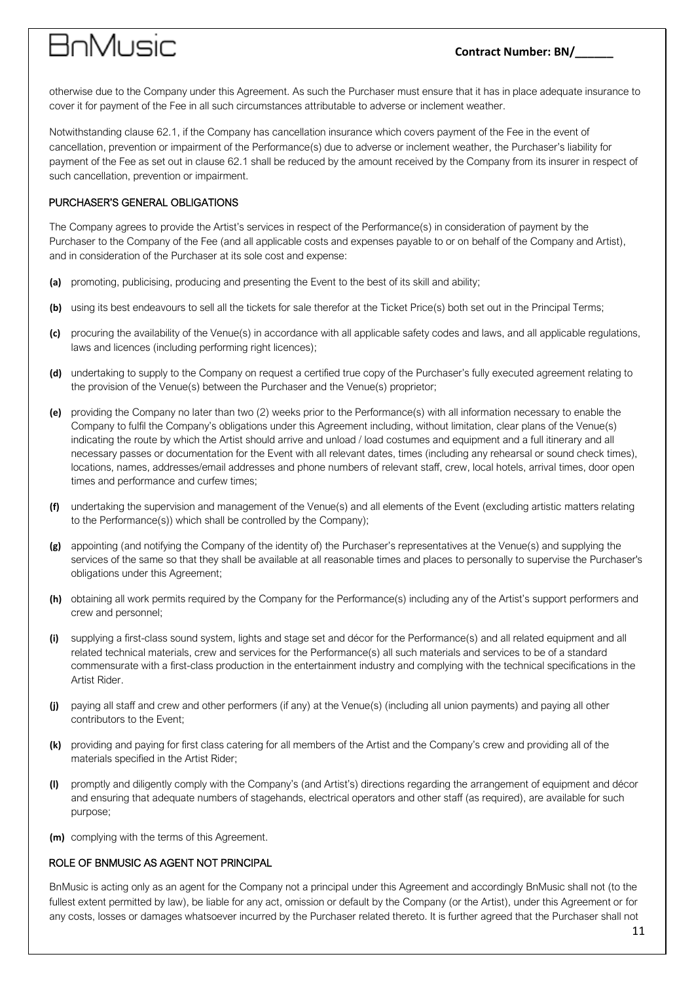# anMusic

otherwise due to the Company under this Agreement. As such the Purchaser must ensure that it has in place adequate insurance to cover it for payment of the Fee in all such circumstances attributable to adverse or inclement weather.

Notwithstanding clause 62.1, if the Company has cancellation insurance which covers payment of the Fee in the event of cancellation, prevention or impairment of the Performance(s) due to adverse or inclement weather, the Purchaser's liability for payment of the Fee as set out in clause 62.1 shall be reduced by the amount received by the Company from its insurer in respect of such cancellation, prevention or impairment.

### PURCHASER'S GENERAL OBLIGATIONS

The Company agrees to provide the Artist's services in respect of the Performance(s) in consideration of payment by the Purchaser to the Company of the Fee (and all applicable costs and expenses payable to or on behalf of the Company and Artist), and in consideration of the Purchaser at its sole cost and expense:

- **(a)** promoting, publicising, producing and presenting the Event to the best of its skill and ability;
- **(b)** using its best endeavours to sell all the tickets for sale therefor at the Ticket Price(s) both set out in the Principal Terms;
- **(c)** procuring the availability of the Venue(s) in accordance with all applicable safety codes and laws, and all applicable regulations, laws and licences (including performing right licences);
- **(d)** undertaking to supply to the Company on request a certified true copy of the Purchaser's fully executed agreement relating to the provision of the Venue(s) between the Purchaser and the Venue(s) proprietor;
- **(e)** providing the Company no later than two (2) weeks prior to the Performance(s) with all information necessary to enable the Company to fulfil the Company's obligations under this Agreement including, without limitation, clear plans of the Venue(s) indicating the route by which the Artist should arrive and unload / load costumes and equipment and a full itinerary and all necessary passes or documentation for the Event with all relevant dates, times (including any rehearsal or sound check times), locations, names, addresses/email addresses and phone numbers of relevant staff, crew, local hotels, arrival times, door open times and performance and curfew times;
- **(f)** undertaking the supervision and management of the Venue(s) and all elements of the Event (excluding artistic matters relating to the Performance(s)) which shall be controlled by the Company);
- **(g)** appointing (and notifying the Company of the identity of) the Purchaser's representatives at the Venue(s) and supplying the services of the same so that they shall be available at all reasonable times and places to personally to supervise the Purchaser's obligations under this Agreement;
- **(h)** obtaining all work permits required by the Company for the Performance(s) including any of the Artist's support performers and crew and personnel;
- **(i)** supplying a first-class sound system, lights and stage set and décor for the Performance(s) and all related equipment and all related technical materials, crew and services for the Performance(s) all such materials and services to be of a standard commensurate with a first-class production in the entertainment industry and complying with the technical specifications in the Artist Rider.
- **(j)** paying all staff and crew and other performers (if any) at the Venue(s) (including all union payments) and paying all other contributors to the Event;
- **(k)** providing and paying for first class catering for all members of the Artist and the Company's crew and providing all of the materials specified in the Artist Rider;
- **(l)** promptly and diligently comply with the Company's (and Artist's) directions regarding the arrangement of equipment and décor and ensuring that adequate numbers of stagehands, electrical operators and other staff (as required), are available for such purpose;
- **(m)** complying with the terms of this Agreement.

#### ROLE OF BNMUSIC AS AGENT NOT PRINCIPAL

BnMusic is acting only as an agent for the Company not a principal under this Agreement and accordingly BnMusic shall not (to the fullest extent permitted by law), be liable for any act, omission or default by the Company (or the Artist), under this Agreement or for any costs, losses or damages whatsoever incurred by the Purchaser related thereto. It is further agreed that the Purchaser shall not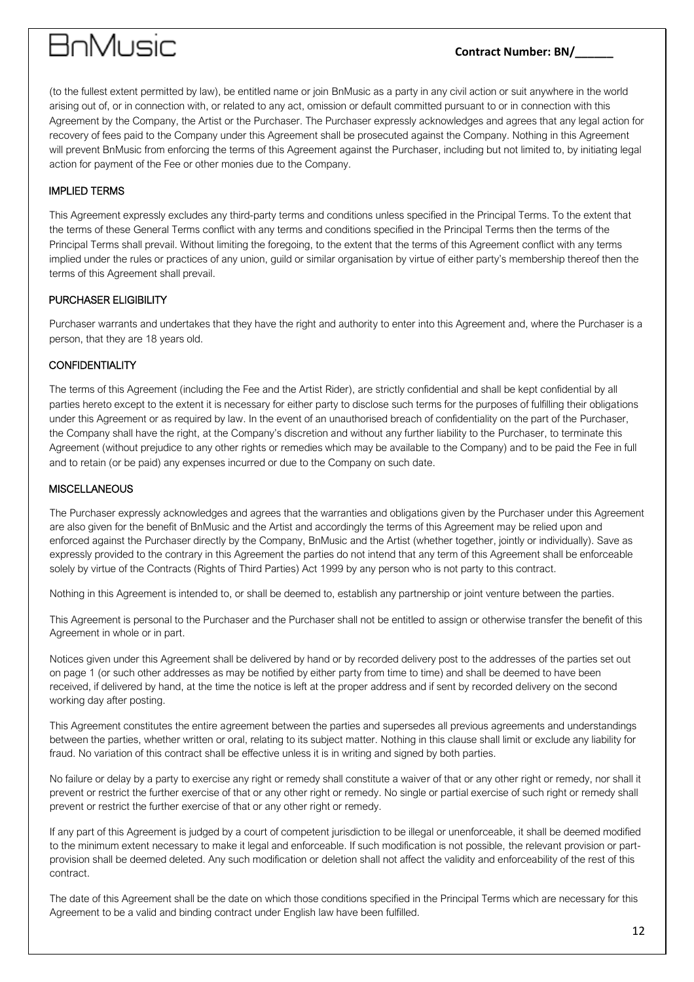### **Contract Number: BN/\_\_\_\_\_\_**

(to the fullest extent permitted by law), be entitled name or join BnMusic as a party in any civil action or suit anywhere in the world arising out of, or in connection with, or related to any act, omission or default committed pursuant to or in connection with this Agreement by the Company, the Artist or the Purchaser. The Purchaser expressly acknowledges and agrees that any legal action for recovery of fees paid to the Company under this Agreement shall be prosecuted against the Company. Nothing in this Agreement will prevent BnMusic from enforcing the terms of this Agreement against the Purchaser, including but not limited to, by initiating legal action for payment of the Fee or other monies due to the Company.

#### IMPLIED TERMS

This Agreement expressly excludes any third-party terms and conditions unless specified in the Principal Terms. To the extent that the terms of these General Terms conflict with any terms and conditions specified in the Principal Terms then the terms of the Principal Terms shall prevail. Without limiting the foregoing, to the extent that the terms of this Agreement conflict with any terms implied under the rules or practices of any union, guild or similar organisation by virtue of either party's membership thereof then the terms of this Agreement shall prevail.

### PURCHASER ELIGIBILITY

Purchaser warrants and undertakes that they have the right and authority to enter into this Agreement and, where the Purchaser is a person, that they are 18 years old.

### **CONFIDENTIALITY**

The terms of this Agreement (including the Fee and the Artist Rider), are strictly confidential and shall be kept confidential by all parties hereto except to the extent it is necessary for either party to disclose such terms for the purposes of fulfilling their obligations under this Agreement or as required by law. In the event of an unauthorised breach of confidentiality on the part of the Purchaser, the Company shall have the right, at the Company's discretion and without any further liability to the Purchaser, to terminate this Agreement (without prejudice to any other rights or remedies which may be available to the Company) and to be paid the Fee in full and to retain (or be paid) any expenses incurred or due to the Company on such date.

#### **MISCELLANEOUS**

The Purchaser expressly acknowledges and agrees that the warranties and obligations given by the Purchaser under this Agreement are also given for the benefit of BnMusic and the Artist and accordingly the terms of this Agreement may be relied upon and enforced against the Purchaser directly by the Company, BnMusic and the Artist (whether together, jointly or individually). Save as expressly provided to the contrary in this Agreement the parties do not intend that any term of this Agreement shall be enforceable solely by virtue of the Contracts (Rights of Third Parties) Act 1999 by any person who is not party to this contract.

Nothing in this Agreement is intended to, or shall be deemed to, establish any partnership or joint venture between the parties.

This Agreement is personal to the Purchaser and the Purchaser shall not be entitled to assign or otherwise transfer the benefit of this Agreement in whole or in part.

Notices given under this Agreement shall be delivered by hand or by recorded delivery post to the addresses of the parties set out on page 1 (or such other addresses as may be notified by either party from time to time) and shall be deemed to have been received, if delivered by hand, at the time the notice is left at the proper address and if sent by recorded delivery on the second working day after posting.

This Agreement constitutes the entire agreement between the parties and supersedes all previous agreements and understandings between the parties, whether written or oral, relating to its subject matter. Nothing in this clause shall limit or exclude any liability for fraud. No variation of this contract shall be effective unless it is in writing and signed by both parties.

No failure or delay by a party to exercise any right or remedy shall constitute a waiver of that or any other right or remedy, nor shall it prevent or restrict the further exercise of that or any other right or remedy. No single or partial exercise of such right or remedy shall prevent or restrict the further exercise of that or any other right or remedy.

If any part of this Agreement is judged by a court of competent jurisdiction to be illegal or unenforceable, it shall be deemed modified to the minimum extent necessary to make it legal and enforceable. If such modification is not possible, the relevant provision or partprovision shall be deemed deleted. Any such modification or deletion shall not affect the validity and enforceability of the rest of this contract.

The date of this Agreement shall be the date on which those conditions specified in the Principal Terms which are necessary for this Agreement to be a valid and binding contract under English law have been fulfilled.